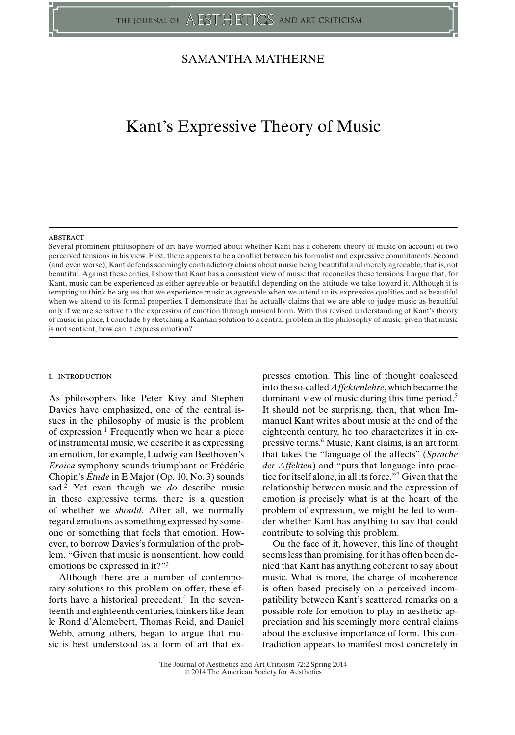## SAMANTHA MATHERNE

# Kant's Expressive Theory of Music

#### **ABSTRACT**

Several prominent philosophers of art have worried about whether Kant has a coherent theory of music on account of two perceived tensions in his view. First, there appears to be a conflict between his formalist and expressive commitments. Second (and even worse), Kant defends seemingly contradictory claims about music being beautiful and merely agreeable, that is, not beautiful. Against these critics, I show that Kant has a consistent view of music that reconciles these tensions. I argue that, for Kant, music can be experienced as either agreeable or beautiful depending on the attitude we take toward it. Although it is tempting to think he argues that we experience music as agreeable when we attend to its expressive qualities and as beautiful when we attend to its formal properties, I demonstrate that he actually claims that we are able to judge music as beautiful only if we are sensitive to the expression of emotion through musical form. With this revised understanding of Kant's theory of music in place, I conclude by sketching a Kantian solution to a central problem in the philosophy of music: given that music is not sentient, how can it express emotion?

#### i. introduction

As philosophers like Peter Kivy and Stephen Davies have emphasized, one of the central issues in the philosophy of music is the problem of expression.<sup>1</sup> Frequently when we hear a piece of instrumental music, we describe it as expressing an emotion, for example, Ludwig van Beethoven's *Eroica* symphony sounds triumphant or Frédéric Chopin's *Etude ´* in E Major (Op. 10, No. 3) sounds sad.2 Yet even though we *do* describe music in these expressive terms, there is a question of whether we *should*. After all, we normally regard emotions as something expressed by someone or something that feels that emotion. However, to borrow Davies's formulation of the problem, "Given that music is nonsentient, how could emotions be expressed in it?"3

Although there are a number of contemporary solutions to this problem on offer, these efforts have a historical precedent.<sup>4</sup> In the seventeenth and eighteenth centuries, thinkers like Jean le Rond d'Alemebert, Thomas Reid, and Daniel Webb, among others, began to argue that music is best understood as a form of art that ex-

presses emotion. This line of thought coalesced into the so-called *Affektenlehre*, which became the dominant view of music during this time period. $5$ It should not be surprising, then, that when Immanuel Kant writes about music at the end of the eighteenth century, he too characterizes it in expressive terms.6 Music, Kant claims, is an art form that takes the "language of the affects" (*Sprache der Affekten*) and "puts that language into practice for itself alone, in all its force."7 Given that the relationship between music and the expression of emotion is precisely what is at the heart of the problem of expression, we might be led to wonder whether Kant has anything to say that could contribute to solving this problem.

On the face of it, however, this line of thought seems less than promising, for it has often been denied that Kant has anything coherent to say about music. What is more, the charge of incoherence is often based precisely on a perceived incompatibility between Kant's scattered remarks on a possible role for emotion to play in aesthetic appreciation and his seemingly more central claims about the exclusive importance of form. This contradiction appears to manifest most concretely in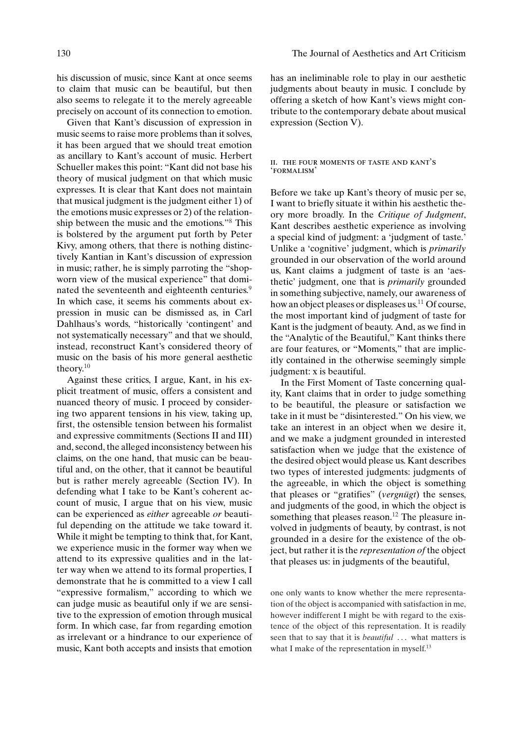Given that Kant's discussion of expression in music seems to raise more problems than it solves, it has been argued that we should treat emotion as ancillary to Kant's account of music. Herbert Schueller makes this point: "Kant did not base his theory of musical judgment on that which music expresses. It is clear that Kant does not maintain that musical judgment is the judgment either 1) of the emotions music expresses or 2) of the relationship between the music and the emotions."8 This is bolstered by the argument put forth by Peter Kivy, among others, that there is nothing distinctively Kantian in Kant's discussion of expression in music; rather, he is simply parroting the "shopworn view of the musical experience" that dominated the seventeenth and eighteenth centuries.<sup>9</sup> In which case, it seems his comments about expression in music can be dismissed as, in Carl Dahlhaus's words, "historically 'contingent' and not systematically necessary" and that we should, instead, reconstruct Kant's considered theory of music on the basis of his more general aesthetic theory.10

Against these critics, I argue, Kant, in his explicit treatment of music, offers a consistent and nuanced theory of music. I proceed by considering two apparent tensions in his view, taking up, first, the ostensible tension between his formalist and expressive commitments (Sections II and III) and, second, the alleged inconsistency between his claims, on the one hand, that music can be beautiful and, on the other, that it cannot be beautiful but is rather merely agreeable (Section IV). In defending what I take to be Kant's coherent account of music, I argue that on his view, music can be experienced as *either* agreeable *or* beautiful depending on the attitude we take toward it. While it might be tempting to think that, for Kant, we experience music in the former way when we attend to its expressive qualities and in the latter way when we attend to its formal properties, I demonstrate that he is committed to a view I call "expressive formalism," according to which we can judge music as beautiful only if we are sensitive to the expression of emotion through musical form. In which case, far from regarding emotion as irrelevant or a hindrance to our experience of music, Kant both accepts and insists that emotion has an ineliminable role to play in our aesthetic judgments about beauty in music. I conclude by offering a sketch of how Kant's views might contribute to the contemporary debate about musical expression (Section V).

#### ii. the four moments of taste and kant's 'formalism'

Before we take up Kant's theory of music per se, I want to briefly situate it within his aesthetic theory more broadly. In the *Critique of Judgment*, Kant describes aesthetic experience as involving a special kind of judgment: a 'judgment of taste.' Unlike a 'cognitive' judgment, which is *primarily* grounded in our observation of the world around us, Kant claims a judgment of taste is an 'aesthetic' judgment, one that is *primarily* grounded in something subjective, namely, our awareness of how an object pleases or displeases us.<sup>11</sup> Of course, the most important kind of judgment of taste for Kant is the judgment of beauty. And, as we find in the "Analytic of the Beautiful," Kant thinks there are four features, or "Moments," that are implicitly contained in the otherwise seemingly simple judgment: x is beautiful.

In the First Moment of Taste concerning quality, Kant claims that in order to judge something to be beautiful, the pleasure or satisfaction we take in it must be "disinterested." On his view, we take an interest in an object when we desire it, and we make a judgment grounded in interested satisfaction when we judge that the existence of the desired object would please us. Kant describes two types of interested judgments: judgments of the agreeable, in which the object is something that pleases or "gratifies" (*vergnügt*) the senses, and judgments of the good, in which the object is something that pleases reason.<sup>12</sup> The pleasure involved in judgments of beauty, by contrast, is not grounded in a desire for the existence of the object, but rather it is the *representation of* the object that pleases us: in judgments of the beautiful,

one only wants to know whether the mere representation of the object is accompanied with satisfaction in me, however indifferent I might be with regard to the existence of the object of this representation. It is readily seen that to say that it is *beautiful* ... what matters is what I make of the representation in myself.<sup>13</sup>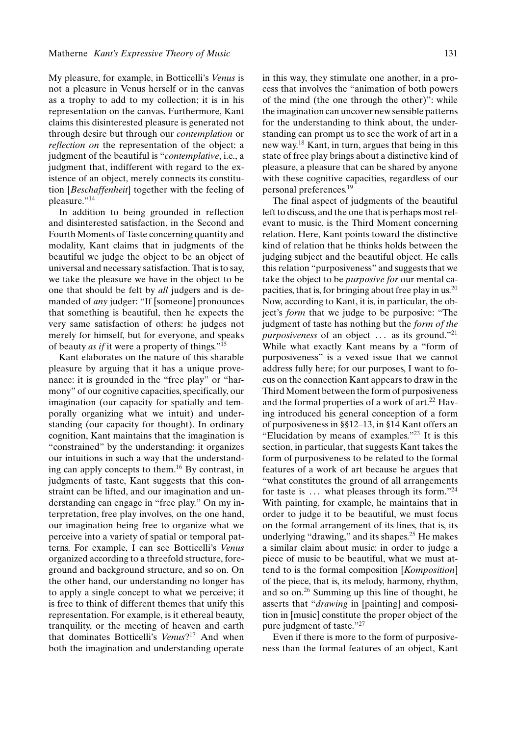My pleasure, for example, in Botticelli's *Venus* is not a pleasure in Venus herself or in the canvas as a trophy to add to my collection; it is in his representation on the canvas. Furthermore, Kant claims this disinterested pleasure is generated not through desire but through our *contemplation* or *reflection on* the representation of the object: a judgment of the beautiful is "*contemplative*, i.e., a judgment that, indifferent with regard to the existence of an object, merely connects its constitution [*Beschaffenheit*] together with the feeling of pleasure."<sup>14</sup>

In addition to being grounded in reflection and disinterested satisfaction, in the Second and Fourth Moments of Taste concerning quantity and modality, Kant claims that in judgments of the beautiful we judge the object to be an object of universal and necessary satisfaction. That is to say, we take the pleasure we have in the object to be one that should be felt by *all* judgers and is demanded of *any* judger: "If [someone] pronounces that something is beautiful, then he expects the very same satisfaction of others: he judges not merely for himself, but for everyone, and speaks of beauty *as if* it were a property of things."15

Kant elaborates on the nature of this sharable pleasure by arguing that it has a unique provenance: it is grounded in the "free play" or "harmony" of our cognitive capacities, specifically, our imagination (our capacity for spatially and temporally organizing what we intuit) and understanding (our capacity for thought). In ordinary cognition, Kant maintains that the imagination is "constrained" by the understanding: it organizes our intuitions in such a way that the understanding can apply concepts to them.16 By contrast, in judgments of taste, Kant suggests that this constraint can be lifted, and our imagination and understanding can engage in "free play." On my interpretation, free play involves, on the one hand, our imagination being free to organize what we perceive into a variety of spatial or temporal patterns. For example, I can see Botticelli's *Venus* organized according to a threefold structure, foreground and background structure, and so on. On the other hand, our understanding no longer has to apply a single concept to what we perceive; it is free to think of different themes that unify this representation. For example, is it ethereal beauty, tranquility, or the meeting of heaven and earth that dominates Botticelli's *Venus*?17 And when both the imagination and understanding operate

in this way, they stimulate one another, in a process that involves the "animation of both powers of the mind (the one through the other)": while the imagination can uncover new sensible patterns for the understanding to think about, the understanding can prompt us to see the work of art in a new way.<sup>18</sup> Kant, in turn, argues that being in this state of free play brings about a distinctive kind of pleasure, a pleasure that can be shared by anyone with these cognitive capacities, regardless of our personal preferences.19

The final aspect of judgments of the beautiful left to discuss, and the one that is perhaps most relevant to music, is the Third Moment concerning relation. Here, Kant points toward the distinctive kind of relation that he thinks holds between the judging subject and the beautiful object. He calls this relation "purposiveness" and suggests that we take the object to be *purposive for* our mental capacities, that is, for bringing about free play in us.<sup>20</sup> Now, according to Kant, it is, in particular, the object's *form* that we judge to be purposive: "The judgment of taste has nothing but the *form of the purposiveness* of an object ... as its ground."<sup>21</sup> While what exactly Kant means by a "form of purposiveness" is a vexed issue that we cannot address fully here; for our purposes, I want to focus on the connection Kant appears to draw in the Third Moment between the form of purposiveness and the formal properties of a work of  $art.^{22}$  Having introduced his general conception of a form of purposiveness in §§12–13, in §14 Kant offers an "Elucidation by means of examples."23 It is this section, in particular, that suggests Kant takes the form of purposiveness to be related to the formal features of a work of art because he argues that "what constitutes the ground of all arrangements for taste is  $\dots$  what pleases through its form."<sup>24</sup> With painting, for example, he maintains that in order to judge it to be beautiful, we must focus on the formal arrangement of its lines, that is, its underlying "drawing," and its shapes.<sup>25</sup> He makes a similar claim about music: in order to judge a piece of music to be beautiful, what we must attend to is the formal composition [*Komposition*] of the piece, that is, its melody, harmony, rhythm, and so on.26 Summing up this line of thought, he asserts that "*drawing* in [painting] and composition in [music] constitute the proper object of the pure judgment of taste."27

Even if there is more to the form of purposiveness than the formal features of an object, Kant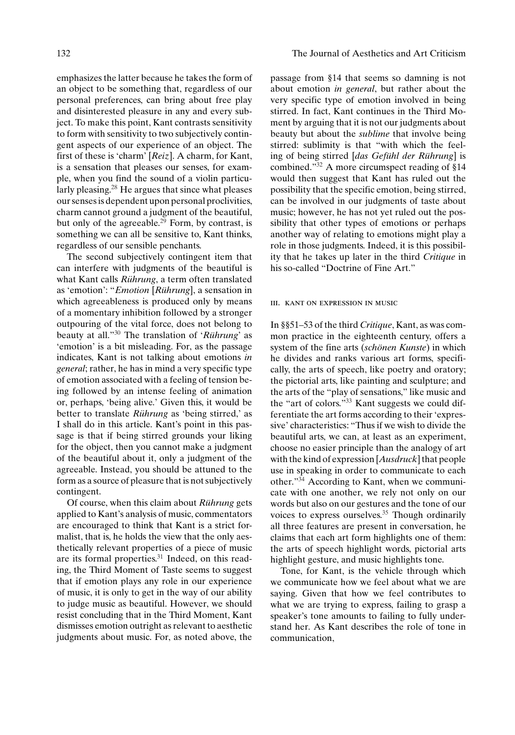emphasizes the latter because he takes the form of an object to be something that, regardless of our personal preferences, can bring about free play and disinterested pleasure in any and every subject. To make this point, Kant contrasts sensitivity to form with sensitivity to two subjectively contingent aspects of our experience of an object. The first of these is 'charm' [*Reiz*]. A charm, for Kant, is a sensation that pleases our senses, for example, when you find the sound of a violin particularly pleasing.28 He argues that since what pleases our senses is dependent upon personal proclivities, charm cannot ground a judgment of the beautiful, but only of the agreeable.<sup>29</sup> Form, by contrast, is something we can all be sensitive to, Kant thinks, regardless of our sensible penchants.

The second subjectively contingent item that can interfere with judgments of the beautiful is what Kant calls *Rührung*, a term often translated as 'emotion': "*Emotion* [*Rührung*], a sensation in which agreeableness is produced only by means of a momentary inhibition followed by a stronger outpouring of the vital force, does not belong to beauty at all."<sup>30</sup> The translation of '*Rührung*' as 'emotion' is a bit misleading. For, as the passage indicates, Kant is not talking about emotions *in general*; rather, he has in mind a very specific type of emotion associated with a feeling of tension being followed by an intense feeling of animation or, perhaps, 'being alive.' Given this, it would be better to translate *Rührung* as 'being stirred,' as I shall do in this article. Kant's point in this passage is that if being stirred grounds your liking for the object, then you cannot make a judgment of the beautiful about it, only a judgment of the agreeable. Instead, you should be attuned to the form as a source of pleasure that is not subjectively contingent.

Of course, when this claim about *Rührung* gets applied to Kant's analysis of music, commentators are encouraged to think that Kant is a strict formalist, that is, he holds the view that the only aesthetically relevant properties of a piece of music are its formal properties.<sup>31</sup> Indeed, on this reading, the Third Moment of Taste seems to suggest that if emotion plays any role in our experience of music, it is only to get in the way of our ability to judge music as beautiful. However, we should resist concluding that in the Third Moment, Kant dismisses emotion outright as relevant to aesthetic judgments about music. For, as noted above, the

passage from §14 that seems so damning is not about emotion *in general*, but rather about the very specific type of emotion involved in being stirred. In fact, Kant continues in the Third Moment by arguing that it is not our judgments about beauty but about the *sublime* that involve being stirred: sublimity is that "with which the feeling of being stirred [das Gefühl der Rührung] is combined."32 A more circumspect reading of §14 would then suggest that Kant has ruled out the possibility that the specific emotion, being stirred, can be involved in our judgments of taste about music; however, he has not yet ruled out the possibility that other types of emotions or perhaps another way of relating to emotions might play a role in those judgments. Indeed, it is this possibility that he takes up later in the third *Critique* in his so-called "Doctrine of Fine Art."

#### iii. kant on expression in music

In §§51–53 of the third *Critique*, Kant, as was common practice in the eighteenth century, offers a system of the fine arts (*schönen Kunste*) in which he divides and ranks various art forms, specifically, the arts of speech, like poetry and oratory; the pictorial arts, like painting and sculpture; and the arts of the "play of sensations," like music and the "art of colors."33 Kant suggests we could differentiate the art forms according to their 'expressive' characteristics: "Thus if we wish to divide the beautiful arts, we can, at least as an experiment, choose no easier principle than the analogy of art with the kind of expression [*Ausdruck*] that people use in speaking in order to communicate to each other."34 According to Kant, when we communicate with one another, we rely not only on our words but also on our gestures and the tone of our voices to express ourselves.<sup>35</sup> Though ordinarily all three features are present in conversation, he claims that each art form highlights one of them: the arts of speech highlight words, pictorial arts highlight gesture, and music highlights tone.

Tone, for Kant, is the vehicle through which we communicate how we feel about what we are saying. Given that how we feel contributes to what we are trying to express, failing to grasp a speaker's tone amounts to failing to fully understand her. As Kant describes the role of tone in communication,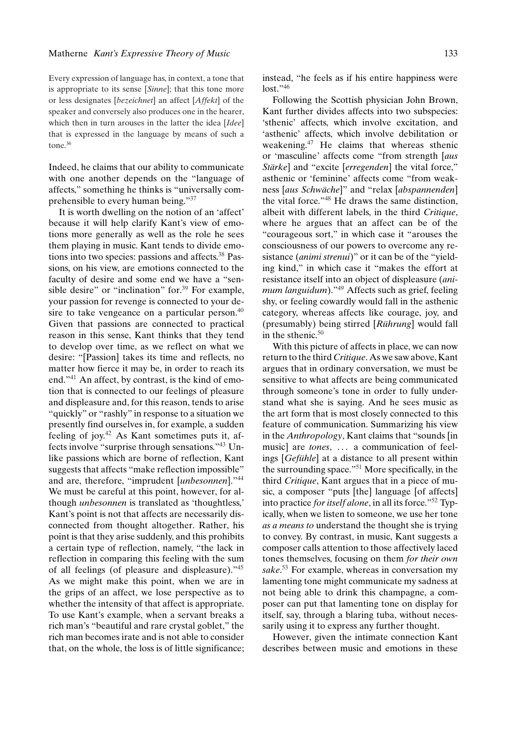Every expression of language has, in context, a tone that is appropriate to its sense [*Sinne*]; that this tone more or less designates [*bezeichnet*] an affect [*Affekt*] of the speaker and conversely also produces one in the hearer, which then in turn arouses in the latter the idea [*Idee*] that is expressed in the language by means of such a tone.36

Indeed, he claims that our ability to communicate with one another depends on the "language of affects," something he thinks is "universally comprehensible to every human being."37

It is worth dwelling on the notion of an 'affect' because it will help clarify Kant's view of emotions more generally as well as the role he sees them playing in music. Kant tends to divide emotions into two species: passions and affects. $38$  Passions, on his view, are emotions connected to the faculty of desire and some end we have a "sensible desire" or "inclination" for.<sup>39</sup> For example, your passion for revenge is connected to your desire to take vengeance on a particular person.<sup>40</sup> Given that passions are connected to practical reason in this sense, Kant thinks that they tend to develop over time, as we reflect on what we desire: "[Passion] takes its time and reflects, no matter how fierce it may be, in order to reach its end."41 An affect, by contrast, is the kind of emotion that is connected to our feelings of pleasure and displeasure and, for this reason, tends to arise "quickly" or "rashly" in response to a situation we presently find ourselves in, for example, a sudden feeling of joy. $42$  As Kant sometimes puts it, affects involve "surprise through sensations."43 Unlike passions which are borne of reflection, Kant suggests that affects "make reflection impossible" and are, therefore, "imprudent [*unbesonnen*]."44 We must be careful at this point, however, for although *unbesonnen* is translated as 'thoughtless,' Kant's point is not that affects are necessarily disconnected from thought altogether. Rather, his point is that they arise suddenly, and this prohibits a certain type of reflection, namely, "the lack in reflection in comparing this feeling with the sum of all feelings (of pleasure and displeasure)."45 As we might make this point, when we are in the grips of an affect, we lose perspective as to whether the intensity of that affect is appropriate. To use Kant's example, when a servant breaks a rich man's "beautiful and rare crystal goblet," the rich man becomes irate and is not able to consider that, on the whole, the loss is of little significance; instead, "he feels as if his entire happiness were  $lost.$ "<sup>46</sup>

Following the Scottish physician John Brown, Kant further divides affects into two subspecies: 'sthenic' affects, which involve excitation, and 'asthenic' affects, which involve debilitation or weakening.<sup>47</sup> He claims that whereas sthenic or 'masculine' affects come "from strength [*aus Stärke*] and "excite [*erregenden*] the vital force," asthenic or 'feminine' affects come "from weakness [aus Schwäche]" and "relax [abspannenden] the vital force."48 He draws the same distinction, albeit with different labels, in the third *Critique*, where he argues that an affect can be of the "courageous sort," in which case it "arouses the consciousness of our powers to overcome any resistance (*animi strenui*)" or it can be of the "yielding kind," in which case it "makes the effort at resistance itself into an object of displeasure (*animum languidum*)."49 Affects such as grief, feeling shy, or feeling cowardly would fall in the asthenic category, whereas affects like courage, joy, and (presumably) being stirred [Rührung] would fall in the sthenic. $50$ 

With this picture of affects in place, we can now return to the third *Critique*. As we saw above, Kant argues that in ordinary conversation, we must be sensitive to what affects are being communicated through someone's tone in order to fully understand what she is saying. And he sees music as the art form that is most closely connected to this feature of communication. Summarizing his view in the *Anthropology*, Kant claims that "sounds [in music] are *tones*, ... a communication of feelings [*Gefühle*] at a distance to all present within the surrounding space."<sup>51</sup> More specifically, in the third *Critique*, Kant argues that in a piece of music, a composer "puts [the] language [of affects] into practice *for itself alone*, in all its force."52 Typically, when we listen to someone, we use her tone *as a means to* understand the thought she is trying to convey. By contrast, in music, Kant suggests a composer calls attention to those affectively laced tones themselves, focusing on them *for their own sake*. <sup>53</sup> For example, whereas in conversation my lamenting tone might communicate my sadness at not being able to drink this champagne, a composer can put that lamenting tone on display for itself, say, through a blaring tuba, without necessarily using it to express any further thought.

However, given the intimate connection Kant describes between music and emotions in these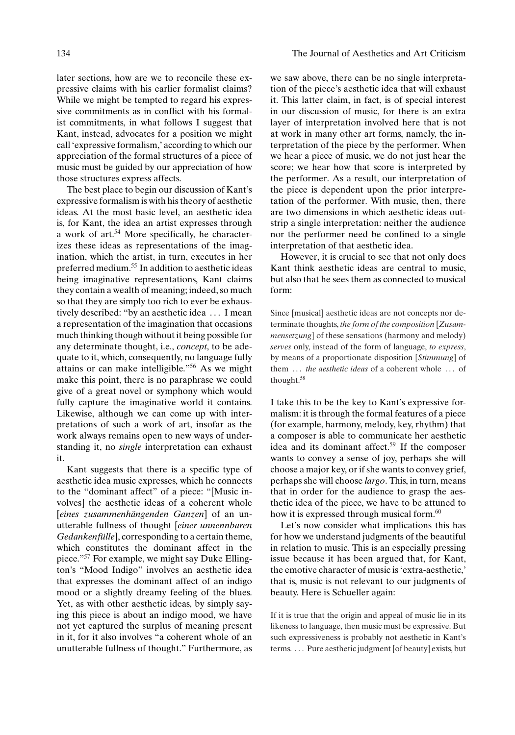later sections, how are we to reconcile these expressive claims with his earlier formalist claims? While we might be tempted to regard his expressive commitments as in conflict with his formalist commitments, in what follows I suggest that Kant, instead, advocates for a position we might call 'expressive formalism,' according to which our appreciation of the formal structures of a piece of music must be guided by our appreciation of how those structures express affects.

The best place to begin our discussion of Kant's expressive formalism is with his theory of aesthetic ideas. At the most basic level, an aesthetic idea is, for Kant, the idea an artist expresses through a work of art.<sup>54</sup> More specifically, he characterizes these ideas as representations of the imagination, which the artist, in turn, executes in her preferred medium.<sup>55</sup> In addition to aesthetic ideas being imaginative representations, Kant claims they contain a wealth of meaning; indeed, so much so that they are simply too rich to ever be exhaustively described: "by an aesthetic idea . . . I mean a representation of the imagination that occasions much thinking though without it being possible for any determinate thought, i.e., *concept*, to be adequate to it, which, consequently, no language fully attains or can make intelligible."<sup>56</sup> As we might make this point, there is no paraphrase we could give of a great novel or symphony which would fully capture the imaginative world it contains. Likewise, although we can come up with interpretations of such a work of art, insofar as the work always remains open to new ways of understanding it, no *single* interpretation can exhaust it.

Kant suggests that there is a specific type of aesthetic idea music expresses, which he connects to the "dominant affect" of a piece: "[Music involves] the aesthetic ideas of a coherent whole [*eines zusammenhängenden Ganzen*] of an unutterable fullness of thought [*einer unnennbaren Gedankenfülle*, corresponding to a certain theme, which constitutes the dominant affect in the piece."57 For example, we might say Duke Ellington's "Mood Indigo" involves an aesthetic idea that expresses the dominant affect of an indigo mood or a slightly dreamy feeling of the blues. Yet, as with other aesthetic ideas, by simply saying this piece is about an indigo mood, we have not yet captured the surplus of meaning present in it, for it also involves "a coherent whole of an unutterable fullness of thought." Furthermore, as

we saw above, there can be no single interpretation of the piece's aesthetic idea that will exhaust it. This latter claim, in fact, is of special interest in our discussion of music, for there is an extra layer of interpretation involved here that is not at work in many other art forms, namely, the interpretation of the piece by the performer. When we hear a piece of music, we do not just hear the score; we hear how that score is interpreted by the performer. As a result, our interpretation of the piece is dependent upon the prior interpretation of the performer. With music, then, there are two dimensions in which aesthetic ideas outstrip a single interpretation: neither the audience nor the performer need be confined to a single interpretation of that aesthetic idea.

However, it is crucial to see that not only does Kant think aesthetic ideas are central to music, but also that he sees them as connected to musical form:

Since [musical] aesthetic ideas are not concepts nor determinate thoughts, *the form of the composition* [*Zusammensetzung*] of these sensations (harmony and melody) *serves* only, instead of the form of language, *to express*, by means of a proportionate disposition [*Stimmung*] of them . . . *the aesthetic ideas* of a coherent whole . . . of thought.58

I take this to be the key to Kant's expressive formalism: it is through the formal features of a piece (for example, harmony, melody, key, rhythm) that a composer is able to communicate her aesthetic idea and its dominant affect.<sup>59</sup> If the composer wants to convey a sense of joy, perhaps she will choose a major key, or if she wants to convey grief, perhaps she will choose *largo*. This, in turn, means that in order for the audience to grasp the aesthetic idea of the piece, we have to be attuned to how it is expressed through musical form.<sup>60</sup>

Let's now consider what implications this has for how we understand judgments of the beautiful in relation to music. This is an especially pressing issue because it has been argued that, for Kant, the emotive character of music is 'extra-aesthetic,' that is, music is not relevant to our judgments of beauty. Here is Schueller again:

If it is true that the origin and appeal of music lie in its likeness to language, then music must be expressive. But such expressiveness is probably not aesthetic in Kant's terms. . . . Pure aesthetic judgment [of beauty] exists, but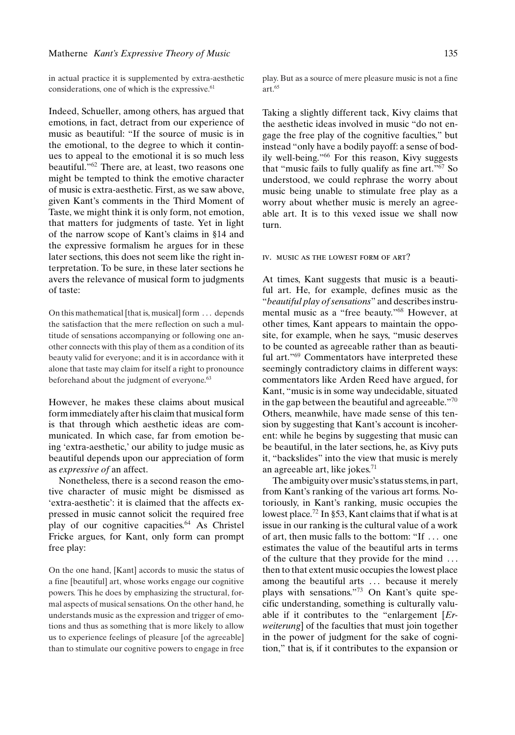in actual practice it is supplemented by extra-aesthetic considerations, one of which is the expressive.<sup>61</sup>

Indeed, Schueller, among others, has argued that emotions, in fact, detract from our experience of music as beautiful: "If the source of music is in the emotional, to the degree to which it continues to appeal to the emotional it is so much less beautiful."62 There are, at least, two reasons one might be tempted to think the emotive character of music is extra-aesthetic. First, as we saw above, given Kant's comments in the Third Moment of Taste, we might think it is only form, not emotion, that matters for judgments of taste. Yet in light of the narrow scope of Kant's claims in §14 and the expressive formalism he argues for in these later sections, this does not seem like the right interpretation. To be sure, in these later sections he avers the relevance of musical form to judgments of taste:

On this mathematical [that is, musical] form . . . depends the satisfaction that the mere reflection on such a multitude of sensations accompanying or following one another connects with this play of them as a condition of its beauty valid for everyone; and it is in accordance with it alone that taste may claim for itself a right to pronounce beforehand about the judgment of everyone.<sup>63</sup>

However, he makes these claims about musical form immediately after his claim that musical form is that through which aesthetic ideas are communicated. In which case, far from emotion being 'extra-aesthetic,' our ability to judge music as beautiful depends upon our appreciation of form as *expressive of* an affect.

Nonetheless, there is a second reason the emotive character of music might be dismissed as 'extra-aesthetic': it is claimed that the affects expressed in music cannot solicit the required free play of our cognitive capacities.<sup>64</sup> As Christel Fricke argues, for Kant, only form can prompt free play:

On the one hand, [Kant] accords to music the status of a fine [beautiful] art, whose works engage our cognitive powers. This he does by emphasizing the structural, formal aspects of musical sensations. On the other hand, he understands music as the expression and trigger of emotions and thus as something that is more likely to allow us to experience feelings of pleasure [of the agreeable] than to stimulate our cognitive powers to engage in free play. But as a source of mere pleasure music is not a fine art.65

Taking a slightly different tack, Kivy claims that the aesthetic ideas involved in music "do not engage the free play of the cognitive faculties," but instead "only have a bodily payoff: a sense of bodily well-being."66 For this reason, Kivy suggests that "music fails to fully qualify as fine  $art.^{67}$  So understood, we could rephrase the worry about music being unable to stimulate free play as a worry about whether music is merely an agreeable art. It is to this vexed issue we shall now turn.

#### iv. music as the lowest form of art?

At times, Kant suggests that music is a beautiful art. He, for example, defines music as the "*beautiful play of sensations*" and describes instrumental music as a "free beauty."68 However, at other times, Kant appears to maintain the opposite, for example, when he says, "music deserves to be counted as agreeable rather than as beautiful art."69 Commentators have interpreted these seemingly contradictory claims in different ways: commentators like Arden Reed have argued, for Kant, "music is in some way undecidable, situated in the gap between the beautiful and agreeable. $\cdot$ <sup>70</sup> Others, meanwhile, have made sense of this tension by suggesting that Kant's account is incoherent: while he begins by suggesting that music can be beautiful, in the later sections, he, as Kivy puts it, "backslides" into the view that music is merely an agreeable art, like jokes. $71$ 

The ambiguity over music's status stems, in part, from Kant's ranking of the various art forms. Notoriously, in Kant's ranking, music occupies the lowest place.<sup>72</sup> In §53, Kant claims that if what is at issue in our ranking is the cultural value of a work of art, then music falls to the bottom: "If . . . one estimates the value of the beautiful arts in terms of the culture that they provide for the mind . . . then to that extent music occupies the lowest place among the beautiful arts ... because it merely plays with sensations."73 On Kant's quite specific understanding, something is culturally valuable if it contributes to the "enlargement [*Erweiterung*] of the faculties that must join together in the power of judgment for the sake of cognition," that is, if it contributes to the expansion or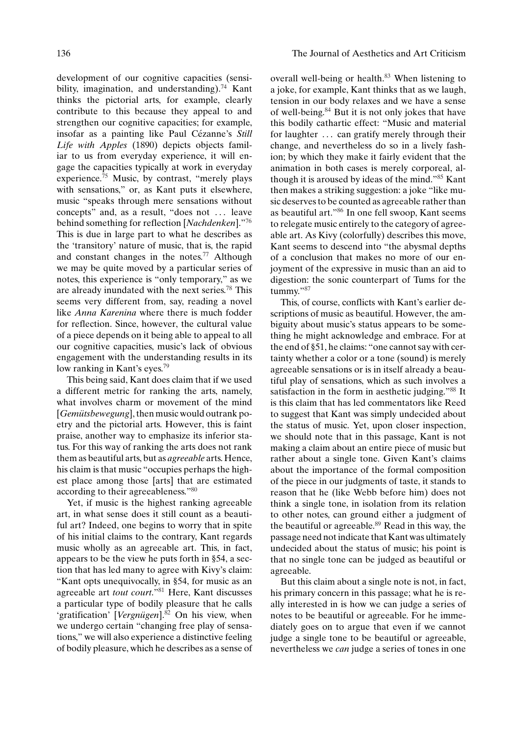development of our cognitive capacities (sensibility, imagination, and understanding).<sup>74</sup> Kant thinks the pictorial arts, for example, clearly contribute to this because they appeal to and strengthen our cognitive capacities; for example, insofar as a painting like Paul Cézanne's Still *Life with Apples* (1890) depicts objects familiar to us from everyday experience, it will engage the capacities typically at work in everyday experience.75 Music, by contrast, "merely plays with sensations," or, as Kant puts it elsewhere, music "speaks through mere sensations without concepts" and, as a result, "does not . . . leave behind something for reflection [*Nachdenken*]."76 This is due in large part to what he describes as the 'transitory' nature of music, that is, the rapid and constant changes in the notes.<sup>77</sup> Although we may be quite moved by a particular series of notes, this experience is "only temporary," as we are already inundated with the next series.<sup>78</sup> This seems very different from, say, reading a novel like *Anna Karenina* where there is much fodder for reflection. Since, however, the cultural value of a piece depends on it being able to appeal to all our cognitive capacities, music's lack of obvious engagement with the understanding results in its low ranking in Kant's eyes.<sup>79</sup>

This being said, Kant does claim that if we used a different metric for ranking the arts, namely, what involves charm or movement of the mind [*Gemütsbewegung*], then music would outrank poetry and the pictorial arts. However, this is faint praise, another way to emphasize its inferior status. For this way of ranking the arts does not rank them as beautiful arts, but as *agreeable* arts. Hence, his claim is that music "occupies perhaps the highest place among those [arts] that are estimated according to their agreeableness."80

Yet, if music is the highest ranking agreeable art, in what sense does it still count as a beautiful art? Indeed, one begins to worry that in spite of his initial claims to the contrary, Kant regards music wholly as an agreeable art. This, in fact, appears to be the view he puts forth in §54, a section that has led many to agree with Kivy's claim: "Kant opts unequivocally, in §54, for music as an agreeable art *tout court*."81 Here, Kant discusses a particular type of bodily pleasure that he calls 'gratification' [Vergnügen].<sup>82</sup> On his view, when we undergo certain "changing free play of sensations," we will also experience a distinctive feeling of bodily pleasure, which he describes as a sense of

overall well-being or health.<sup>83</sup> When listening to a joke, for example, Kant thinks that as we laugh, tension in our body relaxes and we have a sense of well-being.84 But it is not only jokes that have this bodily cathartic effect: "Music and material for laughter ... can gratify merely through their change, and nevertheless do so in a lively fashion; by which they make it fairly evident that the animation in both cases is merely corporeal, although it is aroused by ideas of the mind."85 Kant then makes a striking suggestion: a joke "like music deserves to be counted as agreeable rather than as beautiful art."86 In one fell swoop, Kant seems to relegate music entirely to the category of agreeable art. As Kivy (colorfully) describes this move, Kant seems to descend into "the abysmal depths of a conclusion that makes no more of our enjoyment of the expressive in music than an aid to digestion: the sonic counterpart of Tums for the tummy."87

This, of course, conflicts with Kant's earlier descriptions of music as beautiful. However, the ambiguity about music's status appears to be something he might acknowledge and embrace. For at the end of §51, he claims: "one cannot say with certainty whether a color or a tone (sound) is merely agreeable sensations or is in itself already a beautiful play of sensations, which as such involves a satisfaction in the form in aesthetic judging."88 It is this claim that has led commentators like Reed to suggest that Kant was simply undecided about the status of music. Yet, upon closer inspection, we should note that in this passage, Kant is not making a claim about an entire piece of music but rather about a single tone. Given Kant's claims about the importance of the formal composition of the piece in our judgments of taste, it stands to reason that he (like Webb before him) does not think a single tone, in isolation from its relation to other notes, can ground either a judgment of the beautiful or agreeable.<sup>89</sup> Read in this way, the passage need not indicate that Kant was ultimately undecided about the status of music; his point is that no single tone can be judged as beautiful or agreeable.

But this claim about a single note is not, in fact, his primary concern in this passage; what he is really interested in is how we can judge a series of notes to be beautiful or agreeable. For he immediately goes on to argue that even if we cannot judge a single tone to be beautiful or agreeable, nevertheless we *can* judge a series of tones in one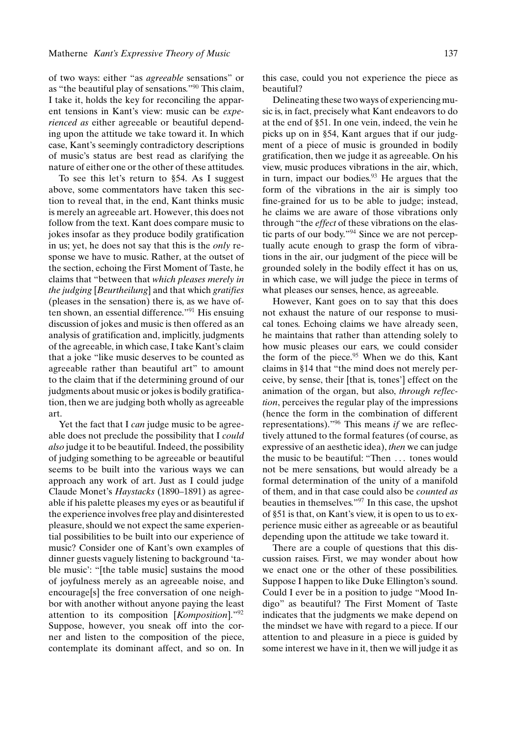of two ways: either "as *agreeable* sensations" or as "the beautiful play of sensations."90 This claim, I take it, holds the key for reconciling the apparent tensions in Kant's view: music can be *experienced as* either agreeable or beautiful depending upon the attitude we take toward it. In which case, Kant's seemingly contradictory descriptions of music's status are best read as clarifying the nature of either one or the other of these attitudes.

To see this let's return to §54. As I suggest above, some commentators have taken this section to reveal that, in the end, Kant thinks music is merely an agreeable art. However, this does not follow from the text. Kant does compare music to jokes insofar as they produce bodily gratification in us; yet, he does not say that this is the *only* response we have to music. Rather, at the outset of the section, echoing the First Moment of Taste, he claims that "between that *which pleases merely in the judging* [*Beurtheilung*] and that which *gratifies* (pleases in the sensation) there is, as we have often shown, an essential difference."<sup>91</sup> His ensuing discussion of jokes and music is then offered as an analysis of gratification and, implicitly, judgments of the agreeable, in which case, I take Kant's claim that a joke "like music deserves to be counted as agreeable rather than beautiful art" to amount to the claim that if the determining ground of our judgments about music or jokes is bodily gratification, then we are judging both wholly as agreeable art.

Yet the fact that I *can* judge music to be agreeable does not preclude the possibility that I *could also* judge it to be beautiful. Indeed, the possibility of judging something to be agreeable or beautiful seems to be built into the various ways we can approach any work of art. Just as I could judge Claude Monet's *Haystacks* (1890–1891) as agreeable if his palette pleases my eyes or as beautiful if the experience involves free play and disinterested pleasure, should we not expect the same experiential possibilities to be built into our experience of music? Consider one of Kant's own examples of dinner guests vaguely listening to background 'table music': "[the table music] sustains the mood of joyfulness merely as an agreeable noise, and encourage[s] the free conversation of one neighbor with another without anyone paying the least attention to its composition [*Komposition*]."92 Suppose, however, you sneak off into the corner and listen to the composition of the piece, contemplate its dominant affect, and so on. In this case, could you not experience the piece as beautiful?

Delineating these two ways of experiencing music is, in fact, precisely what Kant endeavors to do at the end of §51. In one vein, indeed, the vein he picks up on in §54, Kant argues that if our judgment of a piece of music is grounded in bodily gratification, then we judge it as agreeable. On his view, music produces vibrations in the air, which, in turn, impact our bodies. $93$  He argues that the form of the vibrations in the air is simply too fine-grained for us to be able to judge; instead, he claims we are aware of those vibrations only through "the *effect* of these vibrations on the elastic parts of our body."94 Since we are not perceptually acute enough to grasp the form of vibrations in the air, our judgment of the piece will be grounded solely in the bodily effect it has on us, in which case, we will judge the piece in terms of what pleases our senses, hence, as agreeable.

However, Kant goes on to say that this does not exhaust the nature of our response to musical tones. Echoing claims we have already seen, he maintains that rather than attending solely to how music pleases our ears, we could consider the form of the piece. $95$  When we do this, Kant claims in §14 that "the mind does not merely perceive, by sense, their [that is, tones'] effect on the animation of the organ, but also, *through reflection*, perceives the regular play of the impressions (hence the form in the combination of different representations)."96 This means *if* we are reflectively attuned to the formal features (of course, as expressive of an aesthetic idea), *then* we can judge the music to be beautiful: "Then . . . tones would not be mere sensations, but would already be a formal determination of the unity of a manifold of them, and in that case could also be *counted as* beauties in themselves."<sup>97</sup> In this case, the upshot of §51 is that, on Kant's view, it is open to us to experience music either as agreeable or as beautiful depending upon the attitude we take toward it.

There are a couple of questions that this discussion raises. First, we may wonder about how we enact one or the other of these possibilities. Suppose I happen to like Duke Ellington's sound. Could I ever be in a position to judge "Mood Indigo" as beautiful? The First Moment of Taste indicates that the judgments we make depend on the mindset we have with regard to a piece. If our attention to and pleasure in a piece is guided by some interest we have in it, then we will judge it as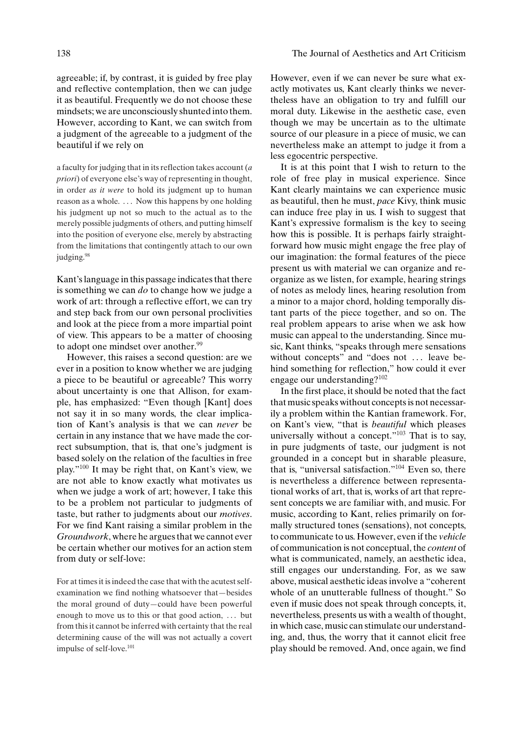agreeable; if, by contrast, it is guided by free play and reflective contemplation, then we can judge it as beautiful. Frequently we do not choose these mindsets; we are unconsciously shunted into them. However, according to Kant, we can switch from a judgment of the agreeable to a judgment of the beautiful if we rely on

a faculty for judging that in its reflection takes account (*a priori*) of everyone else's way of representing in thought, in order *as it were* to hold its judgment up to human reason as a whole. ... Now this happens by one holding his judgment up not so much to the actual as to the merely possible judgments of others, and putting himself into the position of everyone else, merely by abstracting from the limitations that contingently attach to our own judging.<sup>98</sup>

Kant's language in this passage indicates that there is something we can *do* to change how we judge a work of art: through a reflective effort, we can try and step back from our own personal proclivities and look at the piece from a more impartial point of view. This appears to be a matter of choosing to adopt one mindset over another.<sup>99</sup>

However, this raises a second question: are we ever in a position to know whether we are judging a piece to be beautiful or agreeable? This worry about uncertainty is one that Allison, for example, has emphasized: "Even though [Kant] does not say it in so many words, the clear implication of Kant's analysis is that we can *never* be certain in any instance that we have made the correct subsumption, that is, that one's judgment is based solely on the relation of the faculties in free play."100 It may be right that, on Kant's view, we are not able to know exactly what motivates us when we judge a work of art; however, I take this to be a problem not particular to judgments of taste, but rather to judgments about our *motives*. For we find Kant raising a similar problem in the *Groundwork*, where he argues that we cannot ever be certain whether our motives for an action stem from duty or self-love:

For at times it is indeed the case that with the acutest selfexamination we find nothing whatsoever that—besides the moral ground of duty—could have been powerful enough to move us to this or that good action, ... but from this it cannot be inferred with certainty that the real determining cause of the will was not actually a covert impulse of self-love.<sup>101</sup>

However, even if we can never be sure what exactly motivates us, Kant clearly thinks we nevertheless have an obligation to try and fulfill our moral duty. Likewise in the aesthetic case, even though we may be uncertain as to the ultimate source of our pleasure in a piece of music, we can nevertheless make an attempt to judge it from a less egocentric perspective.

It is at this point that I wish to return to the role of free play in musical experience. Since Kant clearly maintains we can experience music as beautiful, then he must, *pace* Kivy, think music can induce free play in us. I wish to suggest that Kant's expressive formalism is the key to seeing how this is possible. It is perhaps fairly straightforward how music might engage the free play of our imagination: the formal features of the piece present us with material we can organize and reorganize as we listen, for example, hearing strings of notes as melody lines, hearing resolution from a minor to a major chord, holding temporally distant parts of the piece together, and so on. The real problem appears to arise when we ask how music can appeal to the understanding. Since music, Kant thinks, "speaks through mere sensations without concepts" and "does not ... leave behind something for reflection," how could it ever engage our understanding?102

In the first place, it should be noted that the fact that music speaks without concepts is not necessarily a problem within the Kantian framework. For, on Kant's view, "that is *beautiful* which pleases universally without a concept."103 That is to say, in pure judgments of taste, our judgment is not grounded in a concept but in sharable pleasure, that is, "universal satisfaction."104 Even so, there is nevertheless a difference between representational works of art, that is, works of art that represent concepts we are familiar with, and music. For music, according to Kant, relies primarily on formally structured tones (sensations), not concepts, to communicate to us. However, even if the *vehicle* of communication is not conceptual, the *content* of what is communicated, namely, an aesthetic idea, still engages our understanding. For, as we saw above, musical aesthetic ideas involve a "coherent whole of an unutterable fullness of thought." So even if music does not speak through concepts, it, nevertheless, presents us with a wealth of thought, in which case, music can stimulate our understanding, and, thus, the worry that it cannot elicit free play should be removed. And, once again, we find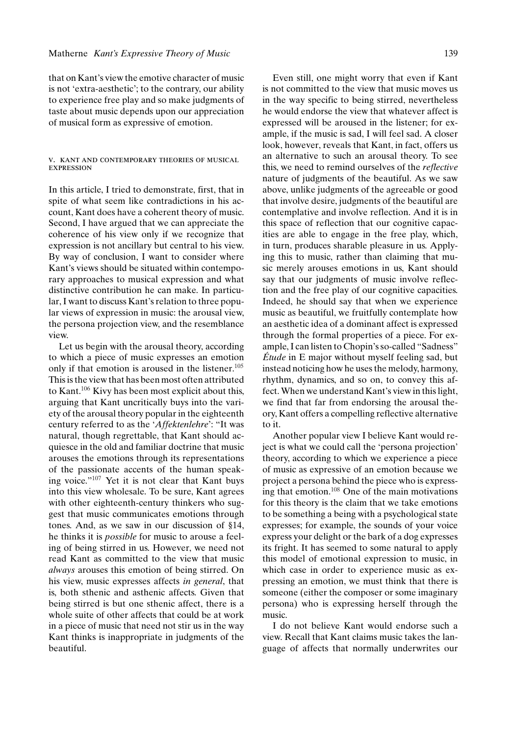that on Kant's view the emotive character of music is not 'extra-aesthetic'; to the contrary, our ability to experience free play and so make judgments of taste about music depends upon our appreciation of musical form as expressive of emotion.

#### v. kant and contemporary theories of musical expression

In this article, I tried to demonstrate, first, that in spite of what seem like contradictions in his account, Kant does have a coherent theory of music. Second, I have argued that we can appreciate the coherence of his view only if we recognize that expression is not ancillary but central to his view. By way of conclusion, I want to consider where Kant's views should be situated within contemporary approaches to musical expression and what distinctive contribution he can make. In particular, I want to discuss Kant's relation to three popular views of expression in music: the arousal view, the persona projection view, and the resemblance view.

Let us begin with the arousal theory, according to which a piece of music expresses an emotion only if that emotion is aroused in the listener.<sup>105</sup> This is the view that has been most often attributed to Kant.<sup>106</sup> Kivy has been most explicit about this, arguing that Kant uncritically buys into the variety of the arousal theory popular in the eighteenth century referred to as the '*Affektenlehre*': "It was natural, though regrettable, that Kant should acquiesce in the old and familiar doctrine that music arouses the emotions through its representations of the passionate accents of the human speaking voice."107 Yet it is not clear that Kant buys into this view wholesale. To be sure, Kant agrees with other eighteenth-century thinkers who suggest that music communicates emotions through tones. And, as we saw in our discussion of §14, he thinks it is *possible* for music to arouse a feeling of being stirred in us. However, we need not read Kant as committed to the view that music *always* arouses this emotion of being stirred. On his view, music expresses affects *in general*, that is, both sthenic and asthenic affects. Given that being stirred is but one sthenic affect, there is a whole suite of other affects that could be at work in a piece of music that need not stir us in the way Kant thinks is inappropriate in judgments of the beautiful.

Even still, one might worry that even if Kant is not committed to the view that music moves us in the way specific to being stirred, nevertheless he would endorse the view that whatever affect is expressed will be aroused in the listener; for example, if the music is sad, I will feel sad. A closer look, however, reveals that Kant, in fact, offers us an alternative to such an arousal theory. To see this, we need to remind ourselves of the *reflective* nature of judgments of the beautiful. As we saw above, unlike judgments of the agreeable or good that involve desire, judgments of the beautiful are contemplative and involve reflection. And it is in this space of reflection that our cognitive capacities are able to engage in the free play, which, in turn, produces sharable pleasure in us. Applying this to music, rather than claiming that music merely arouses emotions in us, Kant should say that our judgments of music involve reflection and the free play of our cognitive capacities. Indeed, he should say that when we experience music as beautiful, we fruitfully contemplate how an aesthetic idea of a dominant affect is expressed through the formal properties of a piece. For example, I can listen to Chopin's so-called "Sadness"  $\acute{E}tude$  in E major without myself feeling sad, but instead noticing how he uses the melody, harmony, rhythm, dynamics, and so on, to convey this affect. When we understand Kant's view in this light, we find that far from endorsing the arousal theory, Kant offers a compelling reflective alternative to it.

Another popular view I believe Kant would reject is what we could call the 'persona projection' theory, according to which we experience a piece of music as expressive of an emotion because we project a persona behind the piece who is expressing that emotion.108 One of the main motivations for this theory is the claim that we take emotions to be something a being with a psychological state expresses; for example, the sounds of your voice express your delight or the bark of a dog expresses its fright. It has seemed to some natural to apply this model of emotional expression to music, in which case in order to experience music as expressing an emotion, we must think that there is someone (either the composer or some imaginary persona) who is expressing herself through the music.

I do not believe Kant would endorse such a view. Recall that Kant claims music takes the language of affects that normally underwrites our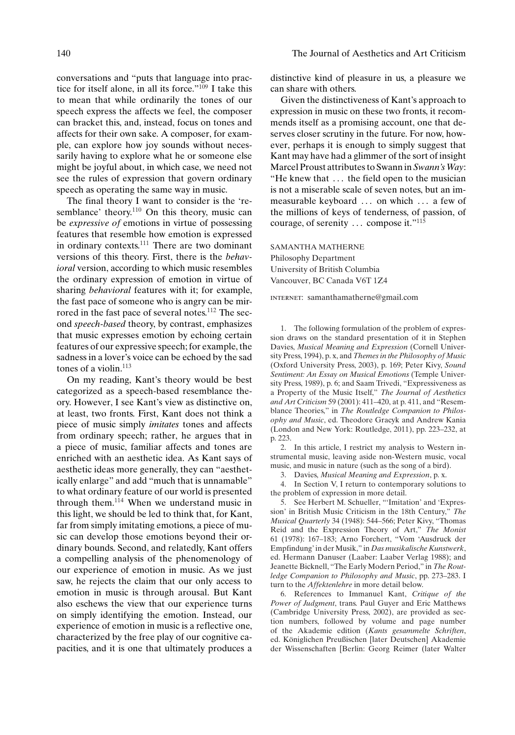conversations and "puts that language into practice for itself alone, in all its force."109 I take this to mean that while ordinarily the tones of our speech express the affects we feel, the composer can bracket this, and, instead, focus on tones and affects for their own sake. A composer, for example, can explore how joy sounds without necessarily having to explore what he or someone else might be joyful about, in which case, we need not see the rules of expression that govern ordinary speech as operating the same way in music.

The final theory I want to consider is the 'resemblance' theory.<sup>110</sup> On this theory, music can be *expressive of* emotions in virtue of possessing features that resemble how emotion is expressed in ordinary contexts.<sup>111</sup> There are two dominant versions of this theory. First, there is the *behavioral* version, according to which music resembles the ordinary expression of emotion in virtue of sharing *behavioral* features with it; for example, the fast pace of someone who is angry can be mirrored in the fast pace of several notes.<sup>112</sup> The second *speech-based* theory, by contrast, emphasizes that music expresses emotion by echoing certain features of our expressive speech; for example, the sadness in a lover's voice can be echoed by the sad tones of a violin.<sup>113</sup>

On my reading, Kant's theory would be best categorized as a speech-based resemblance theory. However, I see Kant's view as distinctive on, at least, two fronts. First, Kant does not think a piece of music simply *imitates* tones and affects from ordinary speech; rather, he argues that in a piece of music, familiar affects and tones are enriched with an aesthetic idea. As Kant says of aesthetic ideas more generally, they can "aesthetically enlarge" and add "much that is unnamable" to what ordinary feature of our world is presented through them.114 When we understand music in this light, we should be led to think that, for Kant, far from simply imitating emotions, a piece of music can develop those emotions beyond their ordinary bounds. Second, and relatedly, Kant offers a compelling analysis of the phenomenology of our experience of emotion in music. As we just saw, he rejects the claim that our only access to emotion in music is through arousal. But Kant also eschews the view that our experience turns on simply identifying the emotion. Instead, our experience of emotion in music is a reflective one, characterized by the free play of our cognitive capacities, and it is one that ultimately produces a

distinctive kind of pleasure in us, a pleasure we can share with others.

Given the distinctiveness of Kant's approach to expression in music on these two fronts, it recommends itself as a promising account, one that deserves closer scrutiny in the future. For now, however, perhaps it is enough to simply suggest that Kant may have had a glimmer of the sort of insight Marcel Proust attributes to Swann in *Swann's Way*: "He knew that . . . the field open to the musician is not a miserable scale of seven notes, but an immeasurable keyboard ... on which ... a few of the millions of keys of tenderness, of passion, of courage, of serenity ... compose it."115

SAMANTHA MATHERNE Philosophy Department University of British Columbia Vancouver, BC Canada V6T 1Z4

internet: samanthamatherne@gmail.com

1. The following formulation of the problem of expression draws on the standard presentation of it in Stephen Davies, *Musical Meaning and Expression* (Cornell University Press, 1994), p. x, and *Themes in the Philosophy of Music* (Oxford University Press, 2003), p. 169; Peter Kivy, *Sound Sentiment: An Essay on Musical Emotions* (Temple University Press, 1989), p. 6; and Saam Trivedi, "Expressiveness as a Property of the Music Itself," *The Journal of Aesthetics and Art Criticism* 59 (2001): 411–420, at p. 411, and "Resemblance Theories," in *The Routledge Companion to Philosophy and Music*, ed. Theodore Gracyk and Andrew Kania (London and New York: Routledge, 2011), pp. 223–232, at p. 223.

2. In this article, I restrict my analysis to Western instrumental music, leaving aside non-Western music, vocal music, and music in nature (such as the song of a bird).

3. Davies, *Musical Meaning and Expression*, p. x.

4. In Section V, I return to contemporary solutions to the problem of expression in more detail.

5. See Herbert M. Schueller, "'Imitation' and 'Expression' in British Music Criticism in the 18th Century," *The Musical Quarterly* 34 (1948): 544–566; Peter Kivy, "Thomas Reid and the Expression Theory of Art," *The Monist* 61 (1978): 167–183; Arno Forchert, "Vom 'Ausdruck der Empfindung' in der Musik," in *Das musikalische Kunstwerk*, ed. Hermann Danuser (Laaber: Laaber Verlag 1988); and Jeanette Bicknell, "The Early Modern Period," in *The Routledge Companion to Philosophy and Music*, pp. 273–283. I turn to the *Affektenlehre* in more detail below.

6. References to Immanuel Kant, *Critique of the Power of Judgment*, trans. Paul Guyer and Eric Matthews (Cambridge University Press, 2002), are provided as section numbers, followed by volume and page number of the Akademie edition (*Kants gesammelte Schriften*, ed. Königlichen Preußischen [later Deutschen] Akademie der Wissenschaften [Berlin: Georg Reimer (later Walter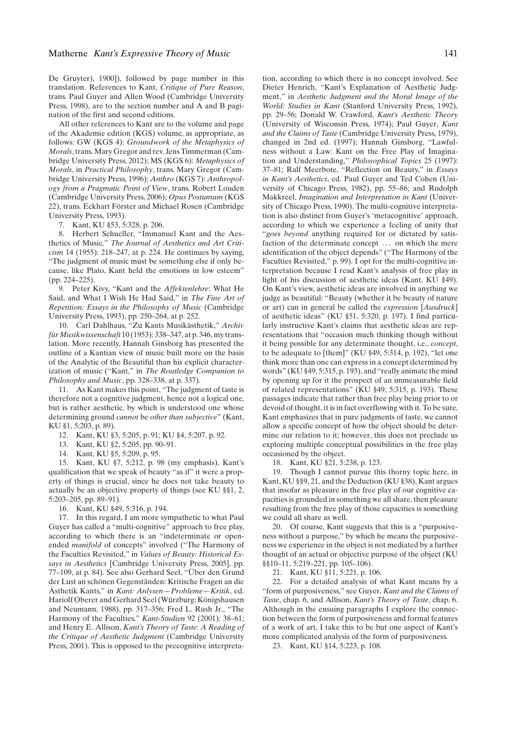De Gruyter), 1900]), followed by page number in this translation. References to Kant, *Critique of Pure Reason*, trans. Paul Guyer and Allen Wood (Cambridge University Press, 1998), are to the section number and A and B pagination of the first and second editions.

All other references to Kant are to the volume and page of the Akademie edition (KGS) volume, as appropriate, as follows: GW (KGS 4): *Groundwork of the Metaphysics of Morals*, trans. Mary Gregor and rev. Jens Timmerman (Cambridge University Press, 2012); MS (KGS 6): *Metaphysics of Morals*, in *Practical Philosophy*, trans. Mary Gregor (Cambridge University Press, 1996); *Anthro* (KGS 7): *Anthropology from a Pragmatic Point of View*, trans. Robert Louden (Cambridge University Press, 2006); *Opus Postumum* (KGS 22), trans. Eckhart Förster and Michael Rosen (Cambridge University Press, 1993).

7. Kant, KU §53, 5:328, p. 206.

8. Herbert Schueller, "Immanuel Kant and the Aesthetics of Music," *The Journal of Aesthetics and Art Criticism* 14 (1955): 218–247, at p. 224. He continues by saying, "The judgment of music must be something else if only because, like Plato, Kant held the emotions in low esteem" (pp. 224–225).

9. Peter Kivy, "Kant and the *Affektenlehre*: What He Said, and What I Wish He Had Said," in *The Fine Art of Repetition: Essays in the Philosophy of Music* (Cambridge University Press, 1993), pp. 250–264, at p. 252.

10. Carl Dahlhaus, "Zu Kants Musikästhetik," Archiv *furMusikwissenschaft ¨* 10 (1953): 338–347, at p. 346, my translation. More recently, Hannah Ginsborg has presented the outline of a Kantian view of music built more on the basis of the Analytic of the Beautiful than his explicit characterization of music ("Kant," in *The Routledge Companion to Philosophy and Music*, pp. 328–338, at p. 337).

11. As Kant makes this point, "The judgment of taste is therefore not a cognitive judgment, hence not a logical one, but is rather aesthetic, by which is understood one whose determining ground *cannot* be *other than subjective*" (Kant, KU §1, 5:203, p. 89).

- 12. Kant, KU §3, 5:205, p. 91; KU §4, 5:207, p. 92.
- 13. Kant, KU §2, 5:205, pp. 90–91.
- 14. Kant, KU §5, 5:209, p. 95.

15. Kant, KU §7, 5:212, p. 98 (my emphasis). Kant's qualification that we speak of beauty "as if" it were a property of things is crucial, since he does not take beauty to actually be an objective property of things (see KU §§1, 2, 5:203–205, pp. 89–91).

16. Kant, KU §49, 5:316, p. 194.

17. In this regard, I am more sympathetic to what Paul Guyer has called a "multi-cognitive" approach to free play, according to which there is an "indeterminate or openended *manifold* of concepts" involved ("The Harmony of the Faculties Revisited," in *Values of Beauty: Historical Essays in Aesthetics* [Cambridge University Press, 2005], pp. 77–109, at p. 84). See also Gerhard Seel, "Uber den Grund ¨ der Lust an schönen Gegenständen: Kritische Fragen an die Ästhetik Kants," in Kant: Anlysen-Probleme-Kritik, ed. Hariolf Oberer and Gerhard Seel (Würzburg: Königshausen and Neumann, 1988), pp. 317–356; Fred L. Rush Jr., "The Harmony of the Faculties," *Kant-Studien* 92 (2001): 38–61; and Henry E. Allison, *Kant's Theory of Taste: A Reading of the Critique of Aesthetic Judgment* (Cambridge University Press, 2001). This is opposed to the precognitive interpreta-

tion, according to which there is no concept involved. See Dieter Henrich, "Kant's Explanation of Aesthetic Judgment," in *Aesthetic Judgment and the Moral Image of the World: Studies in Kant* (Stanford University Press, 1992), pp. 29–56; Donald W. Crawford, *Kant's Aesthetic Theory* (University of Wisconsin Press, 1974); Paul Guyer, *Kant and the Claims of Taste* (Cambridge University Press, 1979), changed in 2nd ed. (1997); Hannah Ginsborg, "Lawfulness without a Law: Kant on the Free Play of Imagination and Understanding," *Philosophical Topics* 25 (1997): 37–81; Ralf Meerbote, "Reflection on Beauty," in *Essays in Kant's Aesthetics*, ed. Paul Guyer and Ted Cohen (University of Chicago Press, 1982), pp. 55–86; and Rudolph Makkreel, *Imagination and Interpretation in Kant* (University of Chicago Press, 1990). The multi-cognitive interpretation is also distinct from Guyer's 'metacognitive' approach, according to which we experience a feeling of unity that "*goes beyond* anything required for or dictated by satisfaction of the determinate concept . . . on which the mere identification of the object depends" ("The Harmony of the Faculties Revisited," p. 99). I opt for the multi-cognitive interpretation because I read Kant's analysis of free play in light of his discussion of aesthetic ideas (Kant, KU §49). On Kant's view, aesthetic ideas are involved in anything we judge as beautiful: "Beauty (whether it be beauty of nature or art) can in general be called the *expression* [*Ausdruck*] of aesthetic ideas" (KU §51, 5:320, p. 197). I find particularly instructive Kant's claims that aesthetic ideas are representations that "occasion much thinking though without it being possible for any determinate thought, i.e., *concept*, to be adequate to [them]" (KU §49, 5:314, p. 192), "let one think more than one can express in a concept determined by words" (KU §49, 5:315, p. 193), and "really animate the mind by opening up for it the prospect of an immeasurable field of related representations" (KU §49, 5:315, p. 193). These passages indicate that rather than free play being prior to or devoid of thought, it is in fact overflowing with it. To be sure, Kant emphasizes that in pure judgments of taste, we cannot allow a specific concept of how the object should be determine our relation to it; however, this does not preclude us exploring multiple conceptual possibilities in the free play occasioned by the object.

18. Kant, KU §21, 5:238, p. 123.

19. Though I cannot pursue this thorny topic here, in Kant, KU §§9, 21, and the Deduction (KU §38), Kant argues that insofar as pleasure in the free play of our cognitive capacities is grounded in something we all share, then pleasure resulting from the free play of those capacities is something we could all share as well.

20. Of course, Kant suggests that this is a "purposiveness without a purpose," by which he means the purposiveness we experience in the object is not mediated by a further thought of an actual or objective purpose of the object (KU §§10–11, 5:219–221, pp. 105–106).

21. Kant, KU §11, 5:221, p. 106.

22. For a detailed analysis of what Kant means by a "form of purposiveness," see Guyer, *Kant and the Claims of Taste*, chap. 6, and Allison, *Kant's Theory of Taste*, chap. 6. Although in the ensuing paragraphs I explore the connection between the form of purposiveness and formal features of a work of art, I take this to be but one aspect of Kant's more complicated analysis of the form of purposiveness.

23. Kant, KU §14, 5:223, p. 108.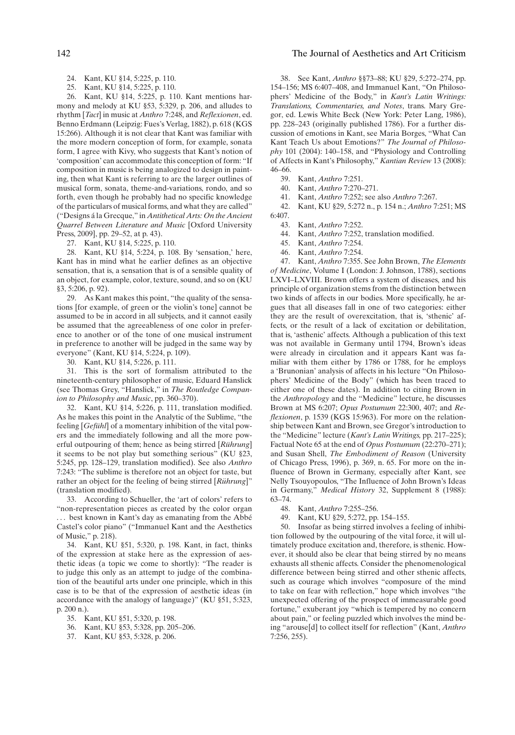- 24. Kant, KU §14, 5:225, p. 110.
- 25. Kant, KU §14, 5:225, p. 110.

26. Kant, KU §14, 5:225, p. 110. Kant mentions harmony and melody at KU §53, 5:329, p. 206, and alludes to rhythm [*Tact*] in music at *Anthro* 7:248, and *Reflexionen*, ed. Benno Erdmann (Leipzig: Fues's Verlag, 1882), p. 618 (KGS 15:266). Although it is not clear that Kant was familiar with the more modern conception of form, for example, sonata form, I agree with Kivy, who suggests that Kant's notion of 'composition' can accommodate this conception of form: "If composition in music is being analogized to design in painting, then what Kant is referring to are the larger outlines of musical form, sonata, theme-and-variations, rondo, and so forth, even though he probably had no specific knowledge of the particulars of musical forms, and what they are called" ("Designs a la Grecque," in ´ *Antithetical Arts: On the Ancient Quarrel Between Literature and Music* [Oxford University Press, 2009], pp. 29–52, at p. 43).

27. Kant, KU §14, 5:225, p. 110.

28. Kant, KU §14, 5:224, p. 108. By 'sensation,' here, Kant has in mind what he earlier defines as an objective sensation, that is, a sensation that is of a sensible quality of an object, for example, color, texture, sound, and so on (KU §3, 5:206, p. 92).

29. As Kant makes this point, "the quality of the sensations [for example, of green or the violin's tone] cannot be assumed to be in accord in all subjects, and it cannot easily be assumed that the agreeableness of one color in preference to another or of the tone of one musical instrument in preference to another will be judged in the same way by everyone" (Kant, KU §14, 5:224, p. 109).

30. Kant, KU §14, 5:226, p. 111.

31. This is the sort of formalism attributed to the nineteenth-century philosopher of music, Eduard Hanslick (see Thomas Grey, "Hanslick," in *The Routledge Companion to Philosophy and Music*, pp. 360–370).

32. Kant, KU §14, 5:226, p. 111, translation modified. As he makes this point in the Analytic of the Sublime, "the feeling [*Gefühl*] of a momentary inhibition of the vital powers and the immediately following and all the more powerful outpouring of them; hence as being stirred [Rührung] it seems to be not play but something serious" (KU §23, 5:245, pp. 128–129, translation modified). See also *Anthro* 7:243: "The sublime is therefore not an object for taste, but rather an object for the feeling of being stirred [Rührung]" (translation modified).

33. According to Schueller, the 'art of colors' refers to "non-representation pieces as created by the color organ

. best known in Kant's day as emanating from the Abbé Castel's color piano" ("Immanuel Kant and the Aesthetics of Music," p. 218).

34. Kant, KU §51, 5:320, p. 198. Kant, in fact, thinks of the expression at stake here as the expression of aesthetic ideas (a topic we come to shortly): "The reader is to judge this only as an attempt to judge of the combination of the beautiful arts under one principle, which in this case is to be that of the expression of aesthetic ideas (in accordance with the analogy of language)" (KU §51, 5:323, p. 200 n.).

- 35. Kant, KU §51, 5:320, p. 198.
- 36. Kant, KU §53, 5:328, pp. 205–206.
- 37. Kant, KU §53, 5:328, p. 206.

### 142 The Journal of Aesthetics and Art Criticism

38. See Kant, *Anthro* §§73–88; KU §29, 5:272–274, pp. 154–156; MS 6:407–408, and Immanuel Kant, "On Philosophers' Medicine of the Body," in *Kant's Latin Writings: Translations, Commentaries, and Notes*, trans. Mary Gregor, ed. Lewis White Beck (New York: Peter Lang, 1986), pp. 228–243 (originally published 1786). For a further discussion of emotions in Kant, see Maria Borges, "What Can Kant Teach Us about Emotions?" *The Journal of Philosophy* 101 (2004): 140–158, and "Physiology and Controlling of Affects in Kant's Philosophy," *Kantian Review* 13 (2008): 46–66.

- 39. Kant, *Anthro* 7:251.
- 40. Kant, *Anthro* 7:270–271.
- 41. Kant, *Anthro* 7:252; see also *Anthro* 7:267.

42. Kant, KU §29, 5:272 n., p. 154 n.; *Anthro* 7:251; MS 6:407.

- 43. Kant, *Anthro* 7:252.
- 44. Kant, *Anthro* 7:252, translation modified.
- 45. Kant, *Anthro* 7:254.
- 46. Kant, *Anthro* 7:254.

47. Kant, *Anthro* 7:355. See John Brown, *The Elements of Medicine*, Volume I (London: J. Johnson, 1788), sections LXVI–LXVIII. Brown offers a system of diseases, and his principle of organization stems from the distinction between two kinds of affects in our bodies. More specifically, he argues that all diseases fall in one of two categories: either they are the result of overexcitation, that is, 'sthenic' affects, or the result of a lack of excitation or debilitation, that is, 'asthenic' affects. Although a publication of this text was not available in Germany until 1794, Brown's ideas were already in circulation and it appears Kant was familiar with them either by 1786 or 1788, for he employs a 'Brunonian' analysis of affects in his lecture "On Philosophers' Medicine of the Body" (which has been traced to either one of these dates). In addition to citing Brown in the *Anthropology* and the "Medicine" lecture, he discusses Brown at MS 6:207; *Opus Postumum* 22:300, 407; and *Reflexionen*, p. 1539 (KGS 15:963). For more on the relationship between Kant and Brown, see Gregor's introduction to the "Medicine" lecture (*Kant's Latin Writings,* pp. 217–225); Factual Note 65 at the end of *Opus Postumum* (22:270–271); and Susan Shell, *The Embodiment of Reason* (University of Chicago Press, 1996), p. 369, n. 65. For more on the influence of Brown in Germany, especially after Kant, see Nelly Tsouyopoulos, "The Influence of John Brown's Ideas in Germany," *Medical History* 32, Supplement 8 (1988): 63–74.

- 48. Kant, *Anthro* 7:255–256.
- 49. Kant, KU §29, 5:272, pp. 154–155.

50. Insofar as being stirred involves a feeling of inhibition followed by the outpouring of the vital force, it will ultimately produce excitation and, therefore, is sthenic. However, it should also be clear that being stirred by no means exhausts all sthenic affects. Consider the phenomenological difference between being stirred and other sthenic affects, such as courage which involves "composure of the mind to take on fear with reflection," hope which involves "the unexpected offering of the prospect of immeasurable good fortune," exuberant joy "which is tempered by no concern about pain," or feeling puzzled which involves the mind being "arouse[d] to collect itself for reflection" (Kant, *Anthro* 7:256, 255).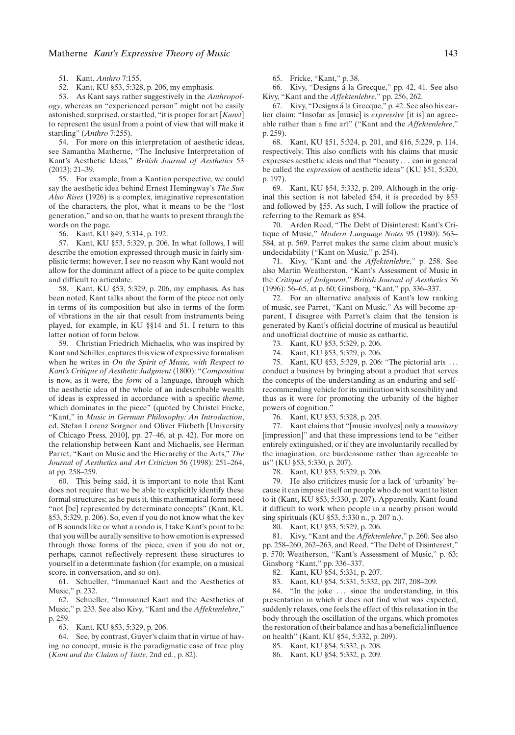51. Kant, *Anthro* 7:155.

52. Kant, KU §53, 5:328, p. 206, my emphasis.

53. As Kant says rather suggestively in the *Anthropology*, whereas an "experienced person" might not be easily astonished, surprised, or startled, "it is proper for art [*Kunst*] to represent the usual from a point of view that will make it startling" (*Anthro* 7:255).

54. For more on this interpretation of aesthetic ideas, see Samantha Matherne, "The Inclusive Interpretation of Kant's Aesthetic Ideas," *British Journal of Aesthetics* 53  $(2013): 21-39.$ 

55. For example, from a Kantian perspective, we could say the aesthetic idea behind Ernest Hemingway's *The Sun Also Rises* (1926) is a complex, imaginative representation of the characters, the plot, what it means to be the "lost generation," and so on, that he wants to present through the words on the page.

56. Kant, KU §49, 5:314, p. 192.

57. Kant, KU §53, 5:329, p. 206. In what follows, I will describe the emotion expressed through music in fairly simplistic terms; however, I see no reason why Kant would not allow for the dominant affect of a piece to be quite complex and difficult to articulate.

58. Kant, KU §53, 5:329, p. 206, my emphasis. As has been noted, Kant talks about the form of the piece not only in terms of its composition but also in terms of the form of vibrations in the air that result from instruments being played, for example, in KU §§14 and 51. I return to this latter notion of form below.

59. Christian Friedrich Michaelis, who was inspired by Kant and Schiller, captures this view of expressive formalism when he writes in *On the Spirit of Music, with Respect to Kant's Critique of Aesthetic Judgment* (1800): "*Composition* is now, as it were, the *form* of a language, through which the aesthetic idea of the whole of an indescribable wealth of ideas is expressed in accordance with a specific *theme*, which dominates in the piece" (quoted by Christel Fricke, "Kant," in *Music in German Philosophy: An Introduction*, ed. Stefan Lorenz Sorgner and Oliver Fürbeth [University of Chicago Press, 2010], pp. 27–46, at p. 42). For more on the relationship between Kant and Michaelis, see Herman Parret, "Kant on Music and the Hierarchy of the Arts," *The Journal of Aesthetics and Art Criticism* 56 (1998): 251–264, at pp. 258–259.

60. This being said, it is important to note that Kant does not require that we be able to explicitly identify these formal structures; as he puts it, this mathematical form need "not [be] represented by determinate concepts" (Kant, KU §53, 5:329, p. 206). So, even if you do not know what the key of B sounds like or what a rondo is, I take Kant's point to be that you will be aurally sensitive to how emotion is expressed through those forms of the piece, even if you do not or, perhaps, cannot reflectively represent these structures to yourself in a determinate fashion (for example, on a musical score, in conversation, and so on).

61. Schueller, "Immanuel Kant and the Aesthetics of Music," p. 232.

62. Schueller, "Immanuel Kant and the Aesthetics of Music," p. 233. See also Kivy, "Kant and the *Affektenlehre*," p. 259.

63. Kant, KU §53, 5:329, p. 206.

64. See, by contrast, Guyer's claim that in virtue of having no concept, music is the paradigmatic case of free play (*Kant and the Claims of Taste*, 2nd ed., p. 82).

65. Fricke, "Kant," p. 38.

66. Kivy, "Designs a la Grecque," pp. 42, 41. See also ´ Kivy, "Kant and the *Affektenlehre*," pp. 256, 262.

67. Kivy, "Designs a la Grecque," p. 42. See also his ear- ´ lier claim: "Insofar as [music] is *expressive* [it is] an agreeable rather than a fine art" ("Kant and the *Affektenlehre*," p. 259).

68. Kant, KU §51, 5:324, p. 201, and §16, 5:229, p. 114, respectively. This also conflicts with his claims that music expresses aesthetic ideas and that "beauty . . . can in general be called the *expression* of aesthetic ideas" (KU §51, 5:320, p. 197).

69. Kant, KU §54, 5:332, p. 209. Although in the original this section is not labeled §54, it is preceded by §53 and followed by §55. As such, I will follow the practice of referring to the Remark as §54.

70. Arden Reed, "The Debt of Disinterest: Kant's Critique of Music," *Modern Language Notes* 95 (1980): 563– 584, at p. 569. Parret makes the same claim about music's undecidability ("Kant on Music," p. 254).

71. Kivy, "Kant and the *Affektenlehre*," p. 258. See also Martin Weatherston, "Kant's Assessment of Music in the *Critique of Judgment*," *British Journal of Aesthetics* 36 (1996): 56–65, at p. 60; Ginsborg, "Kant," pp. 336–337.

72. For an alternative analysis of Kant's low ranking of music, see Parret, "Kant on Music." As will become apparent, I disagree with Parret's claim that the tension is generated by Kant's official doctrine of musical as beautiful and unofficial doctrine of music as cathartic.

73. Kant, KU §53, 5:329, p. 206.

74. Kant, KU §53, 5:329, p. 206.

75. Kant, KU §53, 5:329, p. 206: "The pictorial arts . . . conduct a business by bringing about a product that serves the concepts of the understanding as an enduring and selfrecommending vehicle for its unification with sensibility and thus as it were for promoting the urbanity of the higher powers of cognition."

76. Kant, KU §53, 5:328, p. 205.

77. Kant claims that "[music involves] only a *transitory* [impression]" and that these impressions tend to be "either entirely extinguished, or if they are involuntarily recalled by the imagination, are burdensome rather than agreeable to us" (KU §53, 5:330, p. 207).

78. Kant, KU §53, 5:329, p. 206.

79. He also criticizes music for a lack of 'urbanity' because it can impose itself on people who do not want to listen to it (Kant, KU §53, 5:330, p. 207). Apparently, Kant found it difficult to work when people in a nearby prison would sing spirituals (KU §53, 5:330 n., p. 207 n.).

80. Kant, KU §53, 5:329, p. 206.

81. Kivy, "Kant and the *Affektenlehre*," p. 260. See also pp. 258–260, 262–263, and Reed, "The Debt of Disinterest," p. 570; Weatherson, "Kant's Assessment of Music," p. 63; Ginsborg "Kant," pp. 336–337.

82. Kant, KU §54, 5:331, p. 207.

83. Kant, KU §54, 5:331, 5:332, pp. 207, 208–209.

84. "In the joke ... since the understanding, in this presentation in which it does not find what was expected, suddenly relaxes, one feels the effect of this relaxation in the body through the oscillation of the organs, which promotes the restoration of their balance and has a beneficial influence on health" (Kant, KU §54, 5:332, p. 209).

85. Kant, KU §54, 5:332, p. 208.

86. Kant, KU §54, 5:332, p. 209.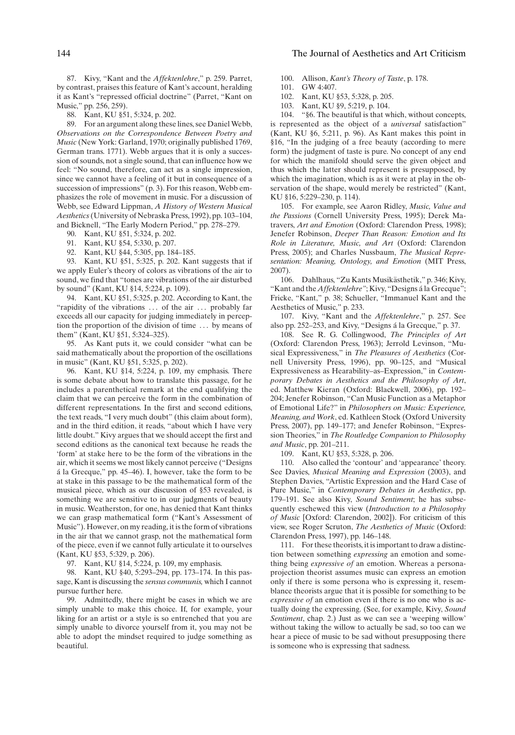87. Kivy, "Kant and the *Affektenlehre*," p. 259. Parret, by contrast, praises this feature of Kant's account, heralding it as Kant's "repressed official doctrine" (Parret, "Kant on Music," pp. 256, 259).

88. Kant, KU §51, 5:324, p. 202.

89. For an argument along these lines, see Daniel Webb, *Observations on the Correspondence Between Poetry and Music* (New York: Garland, 1970; originally published 1769, German trans. 1771). Webb argues that it is only a succession of sounds, not a single sound, that can influence how we feel: "No sound, therefore, can act as a single impression, since we cannot have a feeling of it but in consequence of a succession of impressions" (p. 3). For this reason, Webb emphasizes the role of movement in music. For a discussion of Webb, see Edward Lippman, *A History of Western Musical Aesthetics*(University of Nebraska Press, 1992), pp. 103–104, and Bicknell, "The Early Modern Period," pp. 278–279.

90. Kant, KU §51, 5:324, p. 202.

- 91. Kant, KU §54, 5:330, p. 207.
- 92. Kant, KU §44, 5:305, pp. 184–185.

93. Kant, KU §51, 5:325, p. 202. Kant suggests that if we apply Euler's theory of colors as vibrations of the air to sound, we find that "tones are vibrations of the air disturbed by sound" (Kant, KU §14, 5:224, p. 109).

94. Kant, KU §51, 5:325, p. 202. According to Kant, the "rapidity of the vibrations . . . of the air . . . probably far exceeds all our capacity for judging immediately in perception the proportion of the division of time . . . by means of them" (Kant, KU §51, 5:324–325).

95. As Kant puts it, we could consider "what can be said mathematically about the proportion of the oscillations in music" (Kant, KU §51, 5:325, p. 202).

96. Kant, KU §14, 5:224, p. 109, my emphasis. There is some debate about how to translate this passage, for he includes a parenthetical remark at the end qualifying the claim that we can perceive the form in the combination of different representations. In the first and second editions, the text reads, "I very much doubt" (this claim about form), and in the third edition, it reads, "about which I have very little doubt." Kivy argues that we should accept the first and second editions as the canonical text because he reads the 'form' at stake here to be the form of the vibrations in the air, which it seems we most likely cannot perceive ("Designs á la Grecque," pp. 45-46). I, however, take the form to be at stake in this passage to be the mathematical form of the musical piece, which as our discussion of §53 revealed, is something we are sensitive to in our judgments of beauty in music. Weatherston, for one, has denied that Kant thinks we can grasp mathematical form ("Kant's Assessment of Music"). However, on my reading, it is the form of vibrations in the air that we cannot grasp, not the mathematical form of the piece, even if we cannot fully articulate it to ourselves (Kant, KU §53, 5:329, p. 206).

97. Kant, KU §14, 5:224, p. 109, my emphasis.

98. Kant, KU §40, 5:293–294, pp. 173–174. In this passage, Kant is discussing the *sensus communis,* which I cannot pursue further here.

99. Admittedly, there might be cases in which we are simply unable to make this choice. If, for example, your liking for an artist or a style is so entrenched that you are simply unable to divorce yourself from it, you may not be able to adopt the mindset required to judge something as beautiful.

100. Allison, *Kant's Theory of Taste*, p. 178.

101. GW 4:407.

102. Kant, KU §53, 5:328, p. 205.

103. Kant, KU §9, 5:219, p. 104.

104. "§6. The beautiful is that which, without concepts, is represented as the object of a *universal* satisfaction" (Kant, KU §6, 5:211, p. 96). As Kant makes this point in §16, "In the judging of a free beauty (according to mere form) the judgment of taste is pure. No concept of any end for which the manifold should serve the given object and thus which the latter should represent is presupposed, by which the imagination, which is as it were at play in the observation of the shape, would merely be restricted" (Kant, KU §16, 5:229–230, p. 114).

105. For example, see Aaron Ridley, *Music, Value and the Passions* (Cornell University Press, 1995); Derek Matravers, *Art and Emotion* (Oxford: Clarendon Press, 1998); Jenefer Robinson, *Deeper Than Reason: Emotion and Its Role in Literature, Music, and Art* (Oxford: Clarendon Press, 2005); and Charles Nussbaum, *The Musical Representation: Meaning, Ontology, and Emotion* (MIT Press, 2007).

106. Dahlhaus, "Zu Kants Musikästhetik," p. 346; Kivy, "Kant and the *Affektenlehre"*; Kivy, "Designs á la Grecque"; Fricke, "Kant," p. 38; Schueller, "Immanuel Kant and the Aesthetics of Music," p. 233.

107. Kivy, "Kant and the *Affektenlehre*," p. 257. See also pp. 252–253, and Kivy, "Designs á la Grecque," p. 37.

108. See R. G. Collingwood, *The Principles of Art* (Oxford: Clarendon Press, 1963); Jerrold Levinson, "Musical Expressiveness," in *The Pleasures of Aesthetics* (Cornell University Press, 1996), pp. 90–125, and "Musical Expressiveness as Hearability–as–Expression," in *Contemporary Debates in Aesthetics and the Philosophy of Art*, ed. Matthew Kieran (Oxford: Blackwell, 2006), pp. 192– 204; Jenefer Robinson, "Can Music Function as a Metaphor of Emotional Life?" in *Philosophers on Music: Experience, Meaning, and Work*, ed. Kathleen Stock (Oxford University Press, 2007), pp. 149–177; and Jenefer Robinson, "Expression Theories," in *The Routledge Companion to Philosophy and Music*, pp. 201–211.

109. Kant, KU §53, 5:328, p. 206.

110. Also called the 'contour' and 'appearance' theory. See Davies, *Musical Meaning and Expression* (2003), and Stephen Davies, "Artistic Expression and the Hard Case of Pure Music," in *Contemporary Debates in Aesthetics*, pp. 179–191. See also Kivy, *Sound Sentiment*; he has subsequently eschewed this view (*Introduction to a Philosophy of Music* [Oxford: Clarendon, 2002]). For criticism of this view, see Roger Scruton, *The Aesthetics of Music* (Oxford: Clarendon Press, 1997), pp. 146–148.

111. For these theorists, it is important to draw a distinction between something *expressing* an emotion and something being *expressive of* an emotion. Whereas a personaprojection theorist assumes music can express an emotion only if there is some persona who is expressing it, resemblance theorists argue that it is possible for something to be *expressive of* an emotion even if there is no one who is actually doing the expressing. (See, for example, Kivy, *Sound Sentiment*, chap. 2.) Just as we can see a 'weeping willow' without taking the willow to actually be sad, so too can we hear a piece of music to be sad without presupposing there is someone who is expressing that sadness.